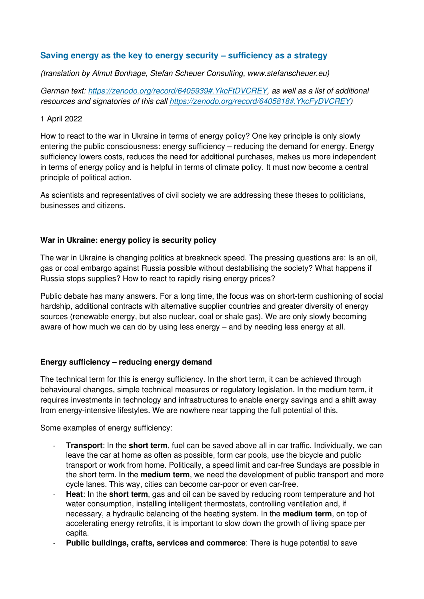### **Saving energy as the key to energy security – sufficiency as a strategy**

(translation by Almut Bonhage, Stefan Scheuer Consulting, www.stefanscheuer.eu)

German text: https://zenodo.org/record/6405939#.YkcFtDVCREY, as well as a list of additional resources and signatories of this call https://zenodo.org/record/6405818#.YkcFyDVCREY)

#### 1 April 2022

How to react to the war in Ukraine in terms of energy policy? One key principle is only slowly entering the public consciousness: energy sufficiency – reducing the demand for energy. Energy sufficiency lowers costs, reduces the need for additional purchases, makes us more independent in terms of energy policy and is helpful in terms of climate policy. It must now become a central principle of political action.

As scientists and representatives of civil society we are addressing these theses to politicians, businesses and citizens.

#### **War in Ukraine: energy policy is security policy**

The war in Ukraine is changing politics at breakneck speed. The pressing questions are: Is an oil, gas or coal embargo against Russia possible without destabilising the society? What happens if Russia stops supplies? How to react to rapidly rising energy prices?

Public debate has many answers. For a long time, the focus was on short-term cushioning of social hardship, additional contracts with alternative supplier countries and greater diversity of energy sources (renewable energy, but also nuclear, coal or shale gas). We are only slowly becoming aware of how much we can do by using less energy – and by needing less energy at all.

#### **Energy sufficiency – reducing energy demand**

The technical term for this is energy sufficiency. In the short term, it can be achieved through behavioural changes, simple technical measures or regulatory legislation. In the medium term, it requires investments in technology and infrastructures to enable energy savings and a shift away from energy-intensive lifestyles. We are nowhere near tapping the full potential of this.

Some examples of energy sufficiency:

- **Transport:** In the **short term**, fuel can be saved above all in car traffic. Individually, we can leave the car at home as often as possible, form car pools, use the bicycle and public transport or work from home. Politically, a speed limit and car-free Sundays are possible in the short term. In the **medium term**, we need the development of public transport and more cycle lanes. This way, cities can become car-poor or even car-free.
- Heat: In the **short term**, gas and oil can be saved by reducing room temperature and hot water consumption, installing intelligent thermostats, controlling ventilation and, if necessary, a hydraulic balancing of the heating system. In the **medium term**, on top of accelerating energy retrofits, it is important to slow down the growth of living space per capita.
- **Public buildings, crafts, services and commerce:** There is huge potential to save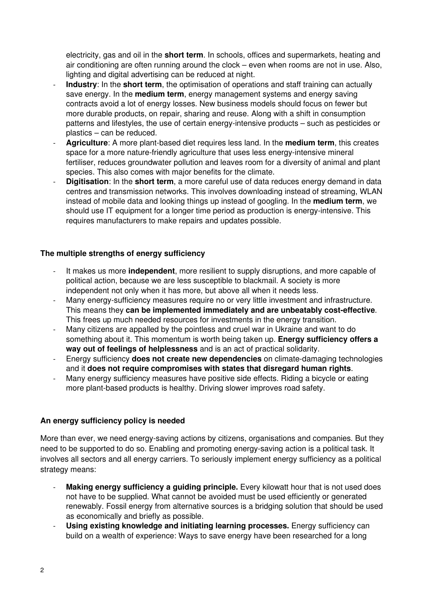electricity, gas and oil in the **short term**. In schools, offices and supermarkets, heating and air conditioning are often running around the clock – even when rooms are not in use. Also, lighting and digital advertising can be reduced at night.

- **Industry**: In the **short term**, the optimisation of operations and staff training can actually save energy. In the **medium term**, energy management systems and energy saving contracts avoid a lot of energy losses. New business models should focus on fewer but more durable products, on repair, sharing and reuse. Along with a shift in consumption patterns and lifestyles, the use of certain energy-intensive products – such as pesticides or plastics – can be reduced.
- **Agriculture**: A more plant-based diet requires less land. In the **medium term**, this creates space for a more nature-friendly agriculture that uses less energy-intensive mineral fertiliser, reduces groundwater pollution and leaves room for a diversity of animal and plant species. This also comes with major benefits for the climate.
- **Digitisation**: In the **short term**, a more careful use of data reduces energy demand in data centres and transmission networks. This involves downloading instead of streaming, WLAN instead of mobile data and looking things up instead of googling. In the **medium term**, we should use IT equipment for a longer time period as production is energy-intensive. This requires manufacturers to make repairs and updates possible.

#### **The multiple strengths of energy sufficiency**

- It makes us more **independent**, more resilient to supply disruptions, and more capable of political action, because we are less susceptible to blackmail. A society is more independent not only when it has more, but above all when it needs less.
- Many energy-sufficiency measures require no or very little investment and infrastructure. This means they **can be implemented immediately and are unbeatably cost-effective**. This frees up much needed resources for investments in the energy transition.
- Many citizens are appalled by the pointless and cruel war in Ukraine and want to do something about it. This momentum is worth being taken up. **Energy sufficiency offers a way out of feelings of helplessness** and is an act of practical solidarity.
- Energy sufficiency **does not create new dependencies** on climate-damaging technologies and it **does not require compromises with states that disregard human rights**.
- Many energy sufficiency measures have positive side effects. Riding a bicycle or eating more plant-based products is healthy. Driving slower improves road safety.

#### **An energy sufficiency policy is needed**

More than ever, we need energy-saving actions by citizens, organisations and companies. But they need to be supported to do so. Enabling and promoting energy-saving action is a political task. It involves all sectors and all energy carriers. To seriously implement energy sufficiency as a political strategy means:

- **Making energy sufficiency a quiding principle.** Every kilowatt hour that is not used does not have to be supplied. What cannot be avoided must be used efficiently or generated renewably. Fossil energy from alternative sources is a bridging solution that should be used as economically and briefly as possible.
- **Using existing knowledge and initiating learning processes.** Energy sufficiency can build on a wealth of experience: Ways to save energy have been researched for a long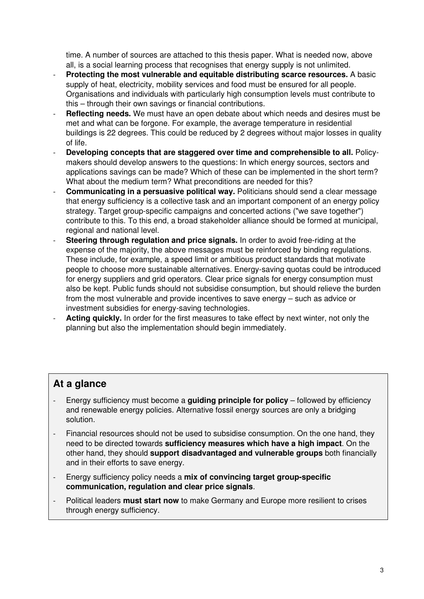time. A number of sources are attached to this thesis paper. What is needed now, above all, is a social learning process that recognises that energy supply is not unlimited.

- **Protecting the most vulnerable and equitable distributing scarce resources.** A basic supply of heat, electricity, mobility services and food must be ensured for all people. Organisations and individuals with particularly high consumption levels must contribute to this – through their own savings or financial contributions.
- **Reflecting needs.** We must have an open debate about which needs and desires must be met and what can be forgone. For example, the average temperature in residential buildings is 22 degrees. This could be reduced by 2 degrees without major losses in quality of life.
- **Developing concepts that are staggered over time and comprehensible to all.** Policymakers should develop answers to the questions: In which energy sources, sectors and applications savings can be made? Which of these can be implemented in the short term? What about the medium term? What preconditions are needed for this?
- **Communicating in a persuasive political way.** Politicians should send a clear message that energy sufficiency is a collective task and an important component of an energy policy strategy. Target group-specific campaigns and concerted actions ("we save together") contribute to this. To this end, a broad stakeholder alliance should be formed at municipal, regional and national level.
- **Steering through regulation and price signals.** In order to avoid free-riding at the expense of the majority, the above messages must be reinforced by binding regulations. These include, for example, a speed limit or ambitious product standards that motivate people to choose more sustainable alternatives. Energy-saving quotas could be introduced for energy suppliers and grid operators. Clear price signals for energy consumption must also be kept. Public funds should not subsidise consumption, but should relieve the burden from the most vulnerable and provide incentives to save energy – such as advice or investment subsidies for energy-saving technologies.
- Acting quickly. In order for the first measures to take effect by next winter, not only the planning but also the implementation should begin immediately.

## **At a glance**

- Energy sufficiency must become a **guiding principle for policy** followed by efficiency and renewable energy policies. Alternative fossil energy sources are only a bridging solution.
- Financial resources should not be used to subsidise consumption. On the one hand, they need to be directed towards **sufficiency measures which have a high impact**. On the other hand, they should **support disadvantaged and vulnerable groups** both financially and in their efforts to save energy.
- Energy sufficiency policy needs a **mix of convincing target group-specific communication, regulation and clear price signals**.
- Political leaders **must start now** to make Germany and Europe more resilient to crises through energy sufficiency.